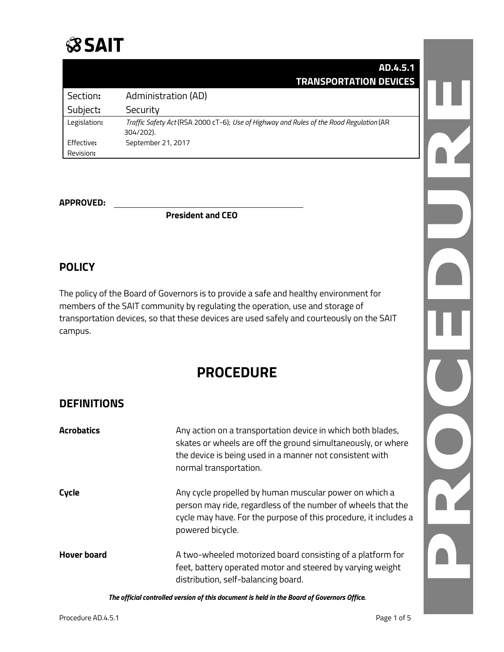## **SSAIT**

|              | AD.4.5.1                                                                                             |  |
|--------------|------------------------------------------------------------------------------------------------------|--|
|              | <b>TRANSPORTATION DEVICES</b>                                                                        |  |
| Section:     | Administration (AD)                                                                                  |  |
| Subject:     | Security                                                                                             |  |
| Legislation: | Traffic Safety Act (RSA 2000 cT-6); Use of Highway and Rules of the Road Regulation (AR<br>304/202). |  |
| Effective:   | September 21, 2017                                                                                   |  |
| Revision:    |                                                                                                      |  |

#### **APPROVED:**

**President and CEO**

## **POLICY**

The policy of the Board of Governors is to provide a safe and healthy environment for members of the SAIT community by regulating the operation, use and storage of transportation devices, so that these devices are used safely and courteously on the SAIT campus.

## **PROCEDURE**

## **DEFINITIONS**

| <b>Acrobatics</b>  | Any action on a transportation device in which both blades,<br>skates or wheels are off the ground simultaneously, or where<br>the device is being used in a manner not consistent with<br>normal transportation. |
|--------------------|-------------------------------------------------------------------------------------------------------------------------------------------------------------------------------------------------------------------|
| Cycle              | Any cycle propelled by human muscular power on which a<br>person may ride, regardless of the number of wheels that the<br>cycle may have. For the purpose of this procedure, it includes a<br>powered bicycle.    |
| <b>Hover board</b> | A two-wheeled motorized board consisting of a platform for<br>feet, battery operated motor and steered by varying weight<br>distribution, self-balancing board.                                                   |

*The official controlled version of this document is held in the Board of Governors Office.*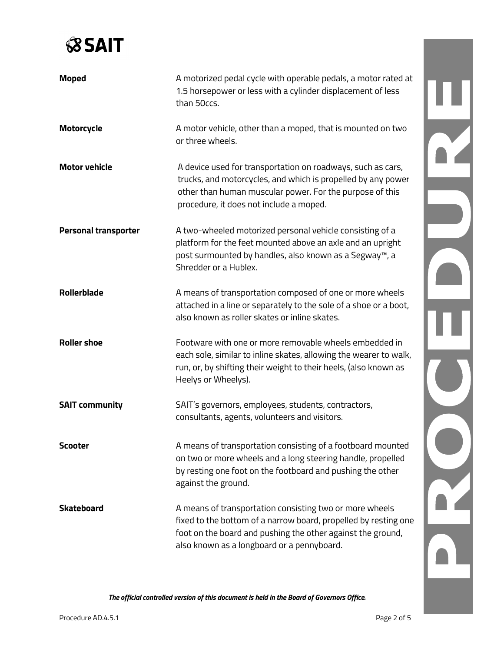# **SSAIT**

| <b>Moped</b>                | A motorized pedal cycle with operable pedals, a motor rated at<br>1.5 horsepower or less with a cylinder displacement of less<br>than 50ccs.                                                                                            |  |
|-----------------------------|-----------------------------------------------------------------------------------------------------------------------------------------------------------------------------------------------------------------------------------------|--|
| Motorcycle                  | A motor vehicle, other than a moped, that is mounted on two<br>or three wheels.                                                                                                                                                         |  |
| <b>Motor vehicle</b>        | A device used for transportation on roadways, such as cars,<br>trucks, and motorcycles, and which is propelled by any power<br>other than human muscular power. For the purpose of this<br>procedure, it does not include a moped.      |  |
| <b>Personal transporter</b> | A two-wheeled motorized personal vehicle consisting of a<br>platform for the feet mounted above an axle and an upright<br>post surmounted by handles, also known as a Segway™, a<br>Shredder or a Hublex.                               |  |
| <b>Rollerblade</b>          | A means of transportation composed of one or more wheels<br>attached in a line or separately to the sole of a shoe or a boot,<br>also known as roller skates or inline skates.                                                          |  |
| <b>Roller shoe</b>          | Footware with one or more removable wheels embedded in<br>each sole, similar to inline skates, allowing the wearer to walk,<br>run, or, by shifting their weight to their heels, (also known as<br>Heelys or Wheelys).                  |  |
| <b>SAIT community</b>       | SAIT's governors, employees, students, contractors,<br>consultants, agents, volunteers and visitors.                                                                                                                                    |  |
| <b>Scooter</b>              | A means of transportation consisting of a footboard mounted<br>on two or more wheels and a long steering handle, propelled<br>by resting one foot on the footboard and pushing the other<br>against the ground.                         |  |
| <b>Skateboard</b>           | A means of transportation consisting two or more wheels<br>fixed to the bottom of a narrow board, propelled by resting one<br>foot on the board and pushing the other against the ground,<br>also known as a longboard or a pennyboard. |  |

*The official controlled version of this document is held in the Board of Governors Office.*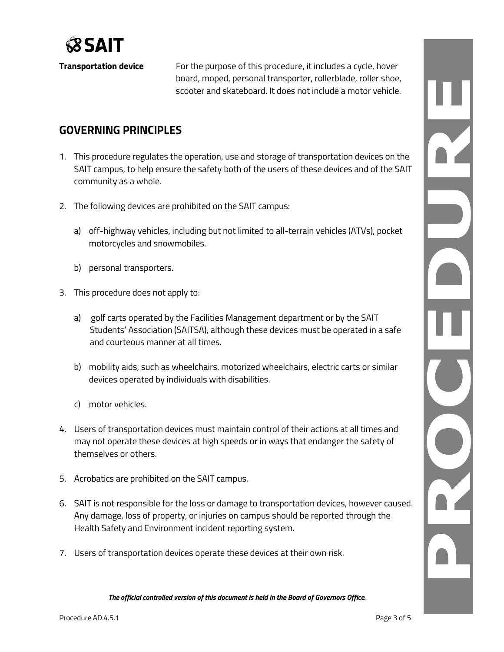

**Transportation device** For the purpose of this procedure, it includes a cycle, hover board, moped, personal transporter, rollerblade, roller shoe, scooter and skateboard. It does not include a motor vehicle.

## **GOVERNING PRINCIPLES**

- 1. This procedure regulates the operation, use and storage of transportation devices on the SAIT campus, to help ensure the safety both of the users of these devices and of the SAIT community as a whole.
- 2. The following devices are prohibited on the SAIT campus:
	- a) off-highway vehicles, including but not limited to all-terrain vehicles (ATVs), pocket motorcycles and snowmobiles.
	- b) personal transporters.
- 3. This procedure does not apply to:
	- a) golf carts operated by the Facilities Management department or by the SAIT Students' Association (SAITSA), although these devices must be operated in a safe and courteous manner at all times.
	- b) mobility aids, such as wheelchairs, motorized wheelchairs, electric carts or similar devices operated by individuals with disabilities.
	- c) motor vehicles.
- 4. Users of transportation devices must maintain control of their actions at all times and may not operate these devices at high speeds or in ways that endanger the safety of themselves or others.
- 5. Acrobatics are prohibited on the SAIT campus.
- 6. SAIT is not responsible for the loss or damage to transportation devices, however caused. Any damage, loss of property, or injuries on campus should be reported through the Health Safety and Environment incident reporting system.
- 7. Users of transportation devices operate these devices at their own risk.

*The official controlled version of this document is held in the Board of Governors Office.*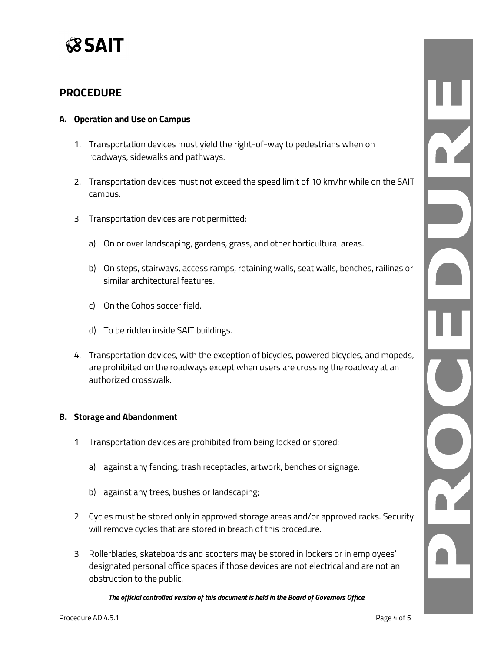

#### **PROCEDURE**

#### **A. Operation and Use on Campus**

- 1. Transportation devices must yield the right-of-way to pedestrians when on roadways, sidewalks and pathways.
- 2. Transportation devices must not exceed the speed limit of 10 km/hr while on the SAIT campus.
- 3. Transportation devices are not permitted:
	- a) On or over landscaping, gardens, grass, and other horticultural areas.
	- b) On steps, stairways, access ramps, retaining walls, seat walls, benches, railings or similar architectural features.
	- c) On the Cohos soccer field.
	- d) To be ridden inside SAIT buildings.
- 4. Transportation devices, with the exception of bicycles, powered bicycles, and mopeds, are prohibited on the roadways except when users are crossing the roadway at an authorized crosswalk.

#### **B. Storage and Abandonment**

- 1. Transportation devices are prohibited from being locked or stored:
	- a) against any fencing, trash receptacles, artwork, benches or signage.
	- b) against any trees, bushes or landscaping;
- 2. Cycles must be stored only in approved storage areas and/or approved racks. Security will remove cycles that are stored in breach of this procedure.
- 3. Rollerblades, skateboards and scooters may be stored in lockers or in employees' designated personal office spaces if those devices are not electrical and are not an obstruction to the public.

*The official controlled version of this document is held in the Board of Governors Office.*